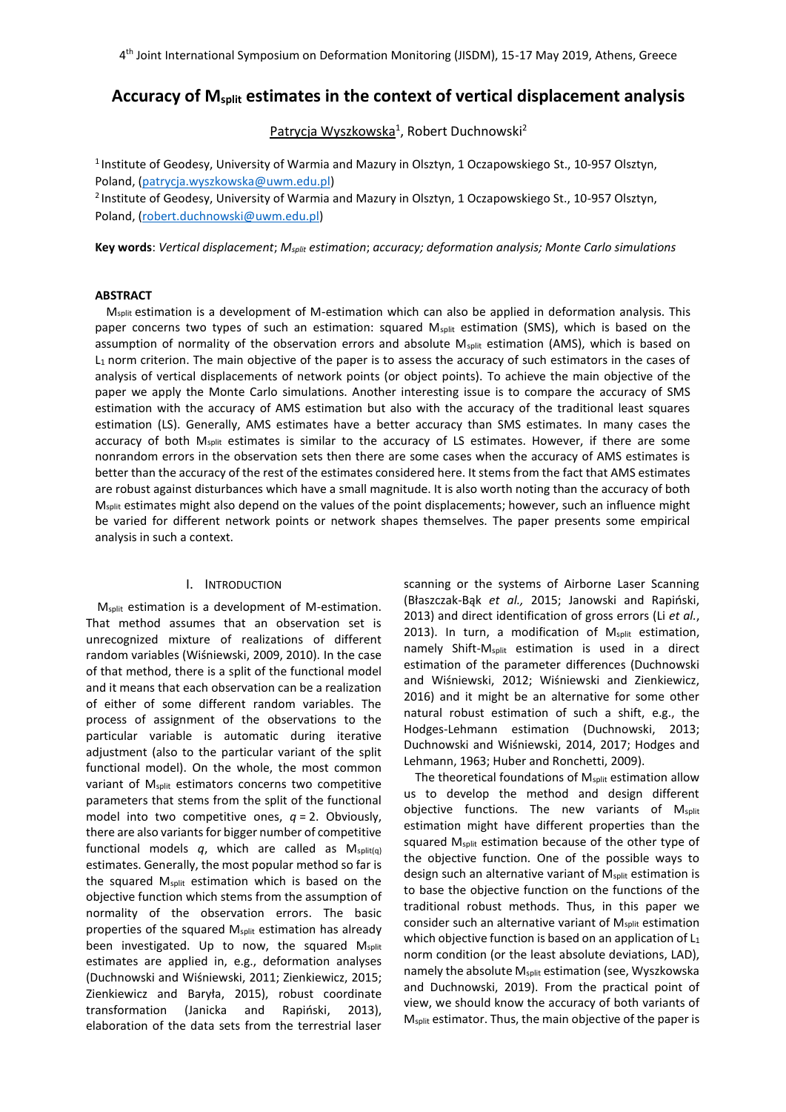# **Accuracy of Msplit estimates in the context of vertical displacement analysis**

Patrycja Wyszkowska<sup>1</sup>, Robert Duchnowski<sup>2</sup>

<sup>1</sup> Institute of Geodesy, University of Warmia and Mazury in Olsztyn, 1 Oczapowskiego St., 10-957 Olsztyn, Poland, [\(patrycja.wyszkowska@u](mailto:patrycja.wyszkowska@)wm.edu.pl)

<sup>2</sup> Institute of Geodesy, University of Warmia and Mazury in Olsztyn, 1 Oczapowskiego St., 10-957 Olsztyn, Poland, [\(robert.duchnowski@u](mailto:robert.duchnowski@)wm.edu.pl)

**Key words**: *Vertical displacement*; *Msplit estimation*; *accuracy; deformation analysis; Monte Carlo simulations*

### **ABSTRACT**

M<sub>split</sub> estimation is a development of M-estimation which can also be applied in deformation analysis. This paper concerns two types of such an estimation: squared M<sub>split</sub> estimation (SMS), which is based on the assumption of normality of the observation errors and absolute M<sub>split</sub> estimation (AMS), which is based on L<sup>1</sup> norm criterion. The main objective of the paper is to assess the accuracy of such estimators in the cases of analysis of vertical displacements of network points (or object points). To achieve the main objective of the paper we apply the Monte Carlo simulations. Another interesting issue is to compare the accuracy of SMS estimation with the accuracy of AMS estimation but also with the accuracy of the traditional least squares estimation (LS). Generally, AMS estimates have a better accuracy than SMS estimates. In many cases the accuracy of both M<sub>split</sub> estimates is similar to the accuracy of LS estimates. However, if there are some nonrandom errors in the observation sets then there are some cases when the accuracy of AMS estimates is better than the accuracy of the rest of the estimates considered here. It stems from the fact that AMS estimates are robust against disturbances which have a small magnitude. It is also worth noting than the accuracy of both Msplit estimates might also depend on the values of the point displacements; however, such an influence might be varied for different network points or network shapes themselves. The paper presents some empirical analysis in such a context.

## I. INTRODUCTION

M<sub>split</sub> estimation is a development of M-estimation. That method assumes that an observation set is unrecognized mixture of realizations of different random variables (Wiśniewski, 2009, 2010). In the case of that method, there is a split of the functional model and it means that each observation can be a realization of either of some different random variables. The process of assignment of the observations to the particular variable is automatic during iterative adjustment (also to the particular variant of the split functional model). On the whole, the most common variant of Msplit estimators concerns two competitive parameters that stems from the split of the functional model into two competitive ones, *q* = 2. Obviously, there are also variants for bigger number of competitive functional models q, which are called as Msplit(a) estimates. Generally, the most popular method so far is the squared  $M_{split}$  estimation which is based on the objective function which stems from the assumption of normality of the observation errors. The basic properties of the squared M<sub>split</sub> estimation has already been investigated. Up to now, the squared Msplit estimates are applied in, e.g., deformation analyses (Duchnowski and Wiśniewski, 2011; Zienkiewicz, 2015; Zienkiewicz and Baryła, 2015), robust coordinate transformation (Janicka and Rapiński, 2013), elaboration of the data sets from the terrestrial laser

scanning or the systems of Airborne Laser Scanning (Błaszczak-Bąk *et al.,* 2015; Janowski and Rapiński, 2013) and direct identification of gross errors (Li *et al.*, 2013). In turn, a modification of M<sub>split</sub> estimation, namely Shift-M<sub>split</sub> estimation is used in a direct estimation of the parameter differences (Duchnowski and Wiśniewski, 2012; Wiśniewski and Zienkiewicz, 2016) and it might be an alternative for some other natural robust estimation of such a shift, e.g., the Hodges-Lehmann estimation (Duchnowski, 2013; Duchnowski and Wiśniewski, 2014, 2017; Hodges and Lehmann, 1963; Huber and Ronchetti, 2009).

The theoretical foundations of M<sub>split</sub> estimation allow us to develop the method and design different objective functions. The new variants of M<sub>split</sub> estimation might have different properties than the squared Msplit estimation because of the other type of the objective function. One of the possible ways to design such an alternative variant of M<sub>split</sub> estimation is to base the objective function on the functions of the traditional robust methods. Thus, in this paper we consider such an alternative variant of Msplit estimation which objective function is based on an application of L<sub>1</sub> norm condition (or the least absolute deviations, LAD), namely the absolute M<sub>split</sub> estimation (see, Wyszkowska and Duchnowski, 2019). From the practical point of view, we should know the accuracy of both variants of Msplit estimator. Thus, the main objective of the paper is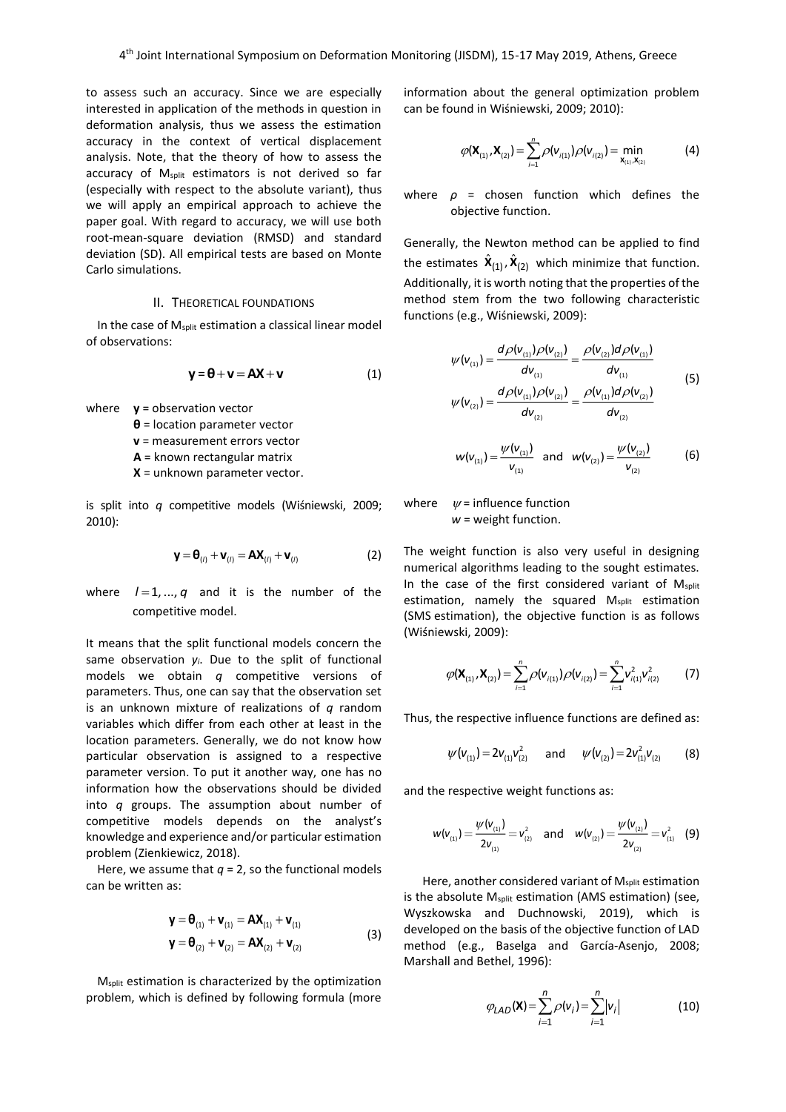to assess such an accuracy. Since we are especially interested in application of the methods in question in deformation analysis, thus we assess the estimation accuracy in the context of vertical displacement analysis. Note, that the theory of how to assess the accuracy of Msplit estimators is not derived so far (especially with respect to the absolute variant), thus we will apply an empirical approach to achieve the paper goal. With regard to accuracy, we will use both root-mean-square deviation (RMSD) and standard deviation (SD). All empirical tests are based on Monte Carlo simulations.

# II. THEORETICAL FOUNDATIONS

In the case of  $M_{split}$  estimation a classical linear model of observations:

$$
y = \theta + v = AX + v \tag{1}
$$

where **y** = observation vector **θ** = location parameter vector **v** = measurement errors vector **A** = known rectangular matrix **X** = unknown parameter vector.

is split into *q* competitive models (Wiśniewski, 2009; 2010):

$$
\mathbf{y} = \mathbf{\Theta}_{(l)} + \mathbf{v}_{(l)} = \mathbf{A}\mathbf{X}_{(l)} + \mathbf{v}_{(l)} \tag{2}
$$

where  $l=1, ..., q$  and it is the number of the competitive model.

It means that the split functional models concern the same observation *yi*. Due to the split of functional models we obtain *q* competitive versions of parameters. Thus, one can say that the observation set is an unknown mixture of realizations of *q* random variables which differ from each other at least in the location parameters. Generally, we do not know how particular observation is assigned to a respective parameter version. To put it another way, one has no information how the observations should be divided into *q* groups. The assumption about number of competitive models depends on the analyst's knowledge and experience and/or particular estimation problem (Zienkiewicz, 2018).

Here, we assume that  $q = 2$ , so the functional models can be written as:

$$
\mathbf{y} = \mathbf{\theta}_{(1)} + \mathbf{v}_{(1)} = \mathbf{A}\mathbf{X}_{(1)} + \mathbf{v}_{(1)}
$$
  

$$
\mathbf{y} = \mathbf{\theta}_{(2)} + \mathbf{v}_{(2)} = \mathbf{A}\mathbf{X}_{(2)} + \mathbf{v}_{(2)}
$$
 (3)

M<sub>split</sub> estimation is characterized by the optimization problem, which is defined by following formula (more information about the general optimization problem can be found in Wiśniewski, 2009; 2010):

$$
\varphi(\mathbf{X}_{(1)}, \mathbf{X}_{(2)}) = \sum_{i=1}^{n} \rho(\mathbf{v}_{i(1)}) \rho(\mathbf{v}_{i(2)}) = \min_{\mathbf{X}_{(1)}, \mathbf{X}_{(2)}} \tag{4}
$$

where *ρ* = chosen function which defines the objective function.

Generally, the Newton method can be applied to find the estimates  $\hat{\bm{X}}_{(1)}$ ,  $\hat{\bm{X}}_{(2)}$  which minimize that function. Additionally, it is worth noting that the properties of the method stem from the two following characteristic functions (e.g., Wiśniewski, 2009):

$$
\psi(\mathbf{v}_{(1)}) = \frac{d\rho(\mathbf{v}_{(1)})\rho(\mathbf{v}_{(2)})}{d\mathbf{v}_{(1)}} = \frac{\rho(\mathbf{v}_{(2)})d\rho(\mathbf{v}_{(1)})}{d\mathbf{v}_{(1)}}
$$
\n
$$
\psi(\mathbf{v}_{(2)}) = \frac{d\rho(\mathbf{v}_{(1)})\rho(\mathbf{v}_{(2)})}{d\mathbf{v}_{(2)}} = \frac{\rho(\mathbf{v}_{(1)})d\rho(\mathbf{v}_{(2)})}{d\mathbf{v}_{(2)}}
$$
\n(5)

$$
w(v_{(1)}) = \frac{\psi(v_{(1)})}{v_{(1)}} \text{ and } w(v_{(2)}) = \frac{\psi(v_{(2)})}{v_{(2)}} \tag{6}
$$

where  $\psi$  = influence function *w* = weight function.

The weight function is also very useful in designing numerical algorithms leading to the sought estimates. In the case of the first considered variant of Msplit estimation, namely the squared M<sub>split</sub> estimation (SMS estimation), the objective function is as follows (Wiśniewski, 2009):

$$
\varphi(\mathbf{X}_{(1)}, \mathbf{X}_{(2)}) = \sum_{i=1}^{n} \rho(\mathbf{V}_{i(1)}) \rho(\mathbf{V}_{i(2)}) = \sum_{i=1}^{n} \mathbf{V}_{i(1)}^{2} \mathbf{V}_{i(2)}^{2}
$$
(7)

Thus, the respective influence functions are defined as:

$$
\psi(\mathsf{v}_{(1)}) = 2\mathsf{v}_{(1)}\mathsf{v}_{(2)}^2 \quad \text{and} \quad \psi(\mathsf{v}_{(2)}) = 2\mathsf{v}_{(1)}^2\mathsf{v}_{(2)} \qquad (8)
$$

and the respective weight functions as:

$$
w(v_{_{(1)}}) = \frac{\psi(v_{_{(1)}})}{2v_{_{(1)}}} = v_{_{(2)}}^2 \quad \text{and} \quad w(v_{_{(2)}}) = \frac{\psi(v_{_{(2)}})}{2v_{_{(2)}}} = v_{_{(1)}}^2 \quad (9)
$$

Here, another considered variant of M<sub>split</sub> estimation is the absolute M<sub>split</sub> estimation (AMS estimation) (see, Wyszkowska and Duchnowski, 2019), which is developed on the basis of the objective function of LAD method (e.g., Baselga and García-Asenjo, 2008; Marshall and Bethel, 1996):

$$
\varphi_{LAD}(\mathbf{X}) = \sum_{i=1}^{n} \rho(v_i) = \sum_{i=1}^{n} |v_i|
$$
 (10)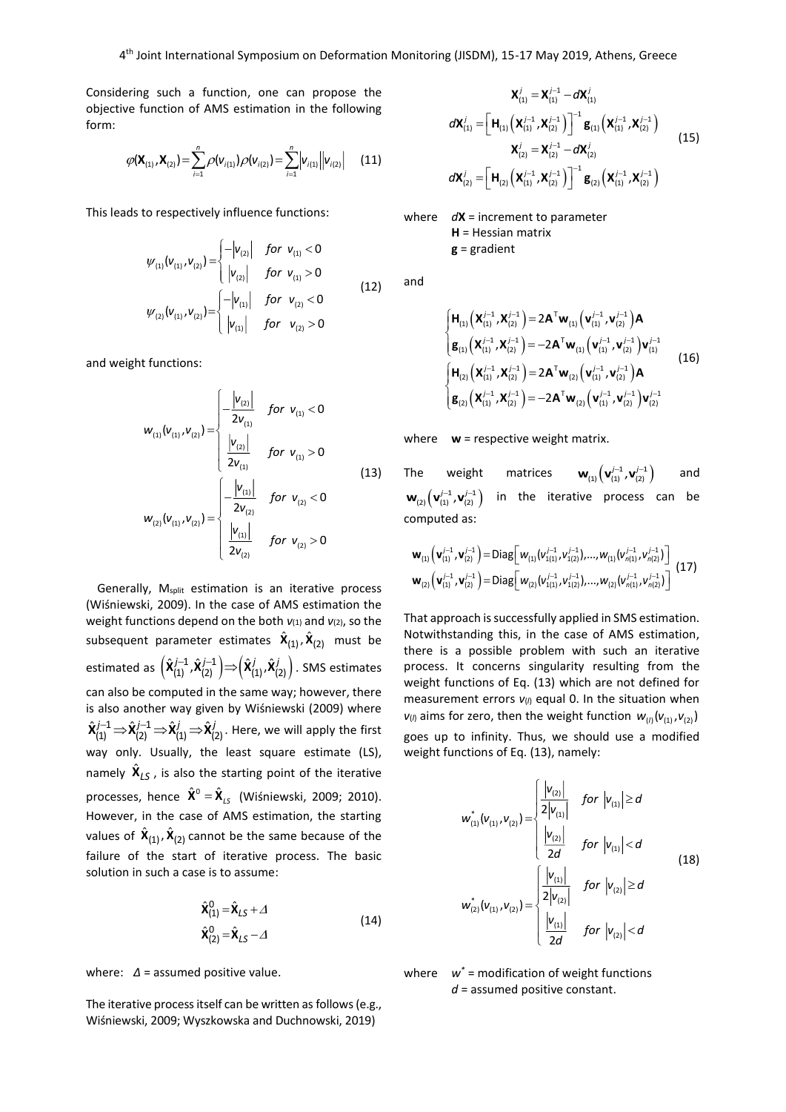Considering such a function, one can propose the objective function of AMS estimation in the following form:

$$
\varphi(\mathbf{X}_{(1)}, \mathbf{X}_{(2)}) = \sum_{i=1}^{n} \rho(\mathbf{V}_{i(1)}) \rho(\mathbf{V}_{i(2)}) = \sum_{i=1}^{n} |\mathbf{V}_{i(1)}| |\mathbf{V}_{i(2)}|
$$
 (11)

This leads to respectively influence functions:

$$
\psi_{(1)}(v_{(1)}, v_{(2)}) = \begin{cases}\n-|v_{(2)}| & \text{for } v_{(1)} < 0 \\
|v_{(2)}| & \text{for } v_{(1)} > 0\n\end{cases}
$$
\n
$$
\psi_{(2)}(v_{(1)}, v_{(2)}) = \begin{cases}\n-|v_{(1)}| & \text{for } v_{(2)} < 0 \\
|v_{(1)}| & \text{for } v_{(2)} > 0\n\end{cases}
$$
\n(12)

and weight functions:

$$
w_{(1)}(v_{(1)}, v_{(2)}) = \begin{cases} -\frac{|v_{(2)}|}{2v_{(1)}} & \text{for } v_{(1)} < 0\\ \frac{|v_{(2)}|}{2v_{(1)}} & \text{for } v_{(1)} > 0\\ \frac{|v_{(2)}|}{2v_{(2)}} & \text{for } v_{(2)} < 0 \end{cases}
$$
(13)  

$$
w_{(2)}(v_{(1)}, v_{(2)}) = \begin{cases} -\frac{|v_{(1)}|}{2v_{(2)}} & \text{for } v_{(2)} < 0\\ \frac{|v_{(1)}|}{2v_{(2)}} & \text{for } v_{(2)} > 0 \end{cases}
$$

Generally,  $M_{split}$  estimation is an iterative process (Wiśniewski, 2009). In the case of AMS estimation the weight functions depend on the both  $v_{(1)}$  and  $v_{(2)}$ , so the subsequent parameter estimates  $\hat{\bm{X}}_{(1)}$ ,  $\hat{\bm{X}}_{(2)}$  must be estimated as  $\left(\hat{\mathbf{X}}_{(1)}^{j-1},\hat{\mathbf{X}}_{(2)}^{j-1}\right) \hspace{-0.3cm} \Rightarrow \hspace{-0.3cm} \left(\hat{\mathbf{X}}_{(1)}^{j},\hat{\mathbf{X}}_{(2)}^{j}\right)$ . SMS estimates can also be computed in the same way; however, there is also another way given by Wiśniewski (2009) where  $\hat{\mathsf{X}}_{(1)}^{j-1} \!\Rightarrow\! \hat{\mathsf{X}}_{(2)}^{j-1} \!\Rightarrow\! \hat{\mathsf{X}}_{(1)}^{j} \!\Rightarrow\! \hat{\mathsf{X}}_{(2)}^{j}.$  Here, we will apply the first way only. Usually, the least square estimate (LS), namely  $\hat{\mathbf{X}}_{LS}$ , is also the starting point of the iterative processes, hence  $\hat{\mathbf{X}}^0 = \hat{\mathbf{X}}_{LS}$  (Wiśniewski, 2009; 2010). However, in the case of AMS estimation, the starting values of  $\hat{\mathbf{X}}_{(1)}$ ,  $\hat{\mathbf{X}}_{(2)}$  cannot be the same because of the failure of the start of iterative process. The basic solution in such a case is to assume:

$$
\hat{\mathbf{x}}_{(1)}^0 = \hat{\mathbf{x}}_{LS} + \varDelta
$$
\n
$$
\hat{\mathbf{x}}_{(2)}^0 = \hat{\mathbf{x}}_{LS} - \varDelta
$$
\n(14)

where: *Δ* = assumed positive value.

The iterative process itself can be written as follows (e.g., Wiśniewski, 2009; Wyszkowska and Duchnowski, 2019)

$$
\mathbf{X}_{(1)}^j = \mathbf{X}_{(1)}^{j-1} - d\mathbf{X}_{(1)}^j
$$
  
\n
$$
d\mathbf{X}_{(1)}^j = \left[\mathbf{H}_{(1)}\left(\mathbf{X}_{(1)}^{j-1}, \mathbf{X}_{(2)}^{j-1}\right)\right]^{-1}\mathbf{g}_{(1)}\left(\mathbf{X}_{(1)}^{j-1}, \mathbf{X}_{(2)}^{j-1}\right)
$$
  
\n
$$
\mathbf{X}_{(2)}^j = \mathbf{X}_{(2)}^{j-1} - d\mathbf{X}_{(2)}^j
$$
  
\n
$$
d\mathbf{X}_{(2)}^j = \left[\mathbf{H}_{(2)}\left(\mathbf{X}_{(1)}^{j-1}, \mathbf{X}_{(2)}^{j-1}\right)\right]^{-1}\mathbf{g}_{(2)}\left(\mathbf{X}_{(1)}^{j-1}, \mathbf{X}_{(2)}^{j-1}\right)
$$
\n(15)

where *d***X** = increment to parameter **H** = Hessian matrix **g** = gradient

and

$$
\begin{cases}\n\mathbf{H}_{(1)}\left(\mathbf{X}_{(1)}^{j-1},\mathbf{X}_{(2)}^{j-1}\right) = 2\mathbf{A}^{\mathsf{T}}\mathbf{w}_{(1)}\left(\mathbf{v}_{(1)}^{j-1},\mathbf{v}_{(2)}^{j-1}\right)\mathbf{A} \\
\mathbf{g}_{(1)}\left(\mathbf{X}_{(1)}^{j-1},\mathbf{X}_{(2)}^{j-1}\right) = -2\mathbf{A}^{\mathsf{T}}\mathbf{w}_{(1)}\left(\mathbf{v}_{(1)}^{j-1},\mathbf{v}_{(2)}^{j-1}\right)\mathbf{v}_{(1)}^{j-1} \\
\mathbf{H}_{(2)}\left(\mathbf{X}_{(1)}^{j-1},\mathbf{X}_{(2)}^{j-1}\right) = 2\mathbf{A}^{\mathsf{T}}\mathbf{w}_{(2)}\left(\mathbf{v}_{(1)}^{j-1},\mathbf{v}_{(2)}^{j-1}\right)\mathbf{A} \\
\mathbf{g}_{(2)}\left(\mathbf{X}_{(1)}^{j-1},\mathbf{X}_{(2)}^{j-1}\right) = -2\mathbf{A}^{\mathsf{T}}\mathbf{w}_{(2)}\left(\mathbf{v}_{(1)}^{j-1},\mathbf{v}_{(2)}^{j-1}\right)\mathbf{v}_{(2)}^{j-1}\n\end{cases}
$$
\n(16)

where **w** = respective weight matrix.

The weight matrices  ${\sf w}_{\scriptscriptstyle (1)}\bigl(\sf v_{\scriptscriptstyle (1)}^{j-1},\sf v_{\scriptscriptstyle (2)}^{j-1}\bigr)$ and  ${\sf w}_{\text{\tiny (2)}}\!\left({\sf v}_{\text{\tiny (1)}}^{j-1},{\sf v}_{\text{\tiny (2)}}^{j-1}\right)$ in the iterative process can be computed as:

$$
\mathbf{w}_{(1)}\left(\mathbf{v}_{(1)}^{j-1},\mathbf{v}_{(2)}^{j-1}\right) = \text{Diag}\left[w_{(1)}(v_{1(1)}^{j-1},v_{1(2)}^{j-1}),...,w_{(1)}(v_{n(1)}^{j-1},v_{n(2)}^{j-1})\right]
$$
  

$$
\mathbf{w}_{(2)}\left(\mathbf{v}_{(1)}^{j-1},\mathbf{v}_{(2)}^{j-1}\right) = \text{Diag}\left[w_{(2)}(v_{1(1)}^{j-1},v_{1(2)}^{j-1}),...,w_{(2)}(v_{n(1)}^{j-1},v_{n(2)}^{j-1})\right]
$$
(17)

That approach is successfully applied in SMS estimation. Notwithstanding this, in the case of AMS estimation, there is a possible problem with such an iterative process. It concerns singularity resulting from the weight functions of Eq. (13) which are not defined for measurement errors  $v_{(l)}$  equal 0. In the situation when  $v_{(l)}$  aims for zero, then the weight function  $w_{(l)}(v_{(1)}, v_{(2)})$ goes up to infinity. Thus, we should use a modified weight functions of Eq. (13), namely:

$$
w_{(1)}^{*}(v_{(1)}, v_{(2)}) = \begin{cases} \frac{|v_{(2)}|}{2|v_{(1)}|} & \text{for } |v_{(1)}| \ge d \\ \frac{|v_{(2)}|}{2d} & \text{for } |v_{(1)}| < d \end{cases}
$$
\n
$$
w_{(2)}^{*}(v_{(1)}, v_{(2)}) = \begin{cases} \frac{|v_{(1)}|}{2|v_{(2)}|} & \text{for } |v_{(2)}| \ge d \\ \frac{|v_{(1)}|}{2d} & \text{for } |v_{(2)}| < d \end{cases}
$$
\n(18)

where *w\** = modification of weight functions *d* = assumed positive constant.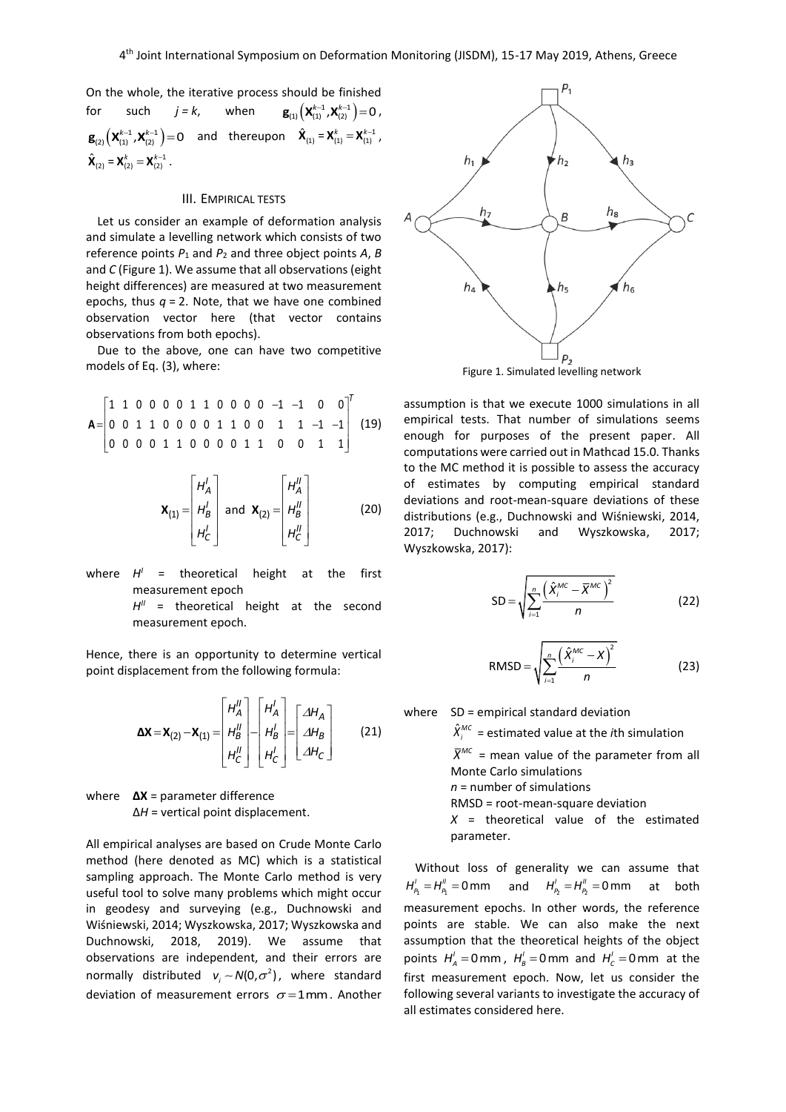On the whole, the iterative process should be finished for such  $j = k$ , when  $\mathbf{g}_{(1)}\left(\mathbf{X}_{(1)}^{k-1}, \mathbf{X}_{(2)}^{k-1}\right) = 0$ ,  $\mathbf{g}_{(2)}\left( \mathbf{X}_{(1)}^{k-1}, \mathbf{X}_{(2)}^{k-1} \right) = 0$  and thereupon  $\hat{\mathbf{X}}_{(1)} = \mathbf{X}_{(1)}^{k} = \mathbf{X}_{(1)}^{k-1}$ ,  $\hat{\mathbf{X}}_{(2)} = \mathbf{X}_{(2)}^k = \mathbf{X}_{(2)}^{k-1}$ .

# III. EMPIRICAL TESTS

Let us consider an example of deformation analysis and simulate a levelling network which consists of two reference points *P*<sup>1</sup> and *P*<sup>2</sup> and three object points *A*, *B* and *C* (Figure 1). We assume that all observations (eight height differences) are measured at two measurement epochs, thus  $q = 2$ . Note, that we have one combined observation vector here (that vector contains observations from both epochs).

Due to the above, one can have two competitive models of Eq. (3), where:

$$
\mathbf{A} = \begin{bmatrix} 1 & 1 & 0 & 0 & 0 & 0 & 1 & 1 & 0 & 0 & 0 & 0 & -1 & -1 & 0 & 0 \\ 0 & 0 & 1 & 1 & 0 & 0 & 0 & 0 & 1 & 1 & 0 & 0 & 1 & 1 & -1 & -1 \\ 0 & 0 & 0 & 0 & 1 & 1 & 0 & 0 & 0 & 1 & 1 & 0 & 0 & 1 & 1 \end{bmatrix} \tag{19}
$$

$$
\mathbf{X}_{(1)} = \begin{bmatrix} H_A^l \\ H_B^l \\ H_C^l \end{bmatrix} \text{ and } \mathbf{X}_{(2)} = \begin{bmatrix} H_A^l \\ H_B^l \\ H_C^l \end{bmatrix}
$$
 (20)

where  $H'$  = theoretical height at the first measurement epoch

> H<sup>II</sup> = theoretical height at the second measurement epoch.

Hence, there is an opportunity to determine vertical point displacement from the following formula:

$$
\Delta \mathbf{X} = \mathbf{X}_{(2)} - \mathbf{X}_{(1)} = \begin{bmatrix} H_A^H \\ H_B^H \\ H_C^H \end{bmatrix} - \begin{bmatrix} H_A^I \\ H_B^I \\ H_C^I \end{bmatrix} = \begin{bmatrix} \Delta H_A \\ \Delta H_B \\ \Delta H_C \end{bmatrix}
$$
(21)

where **ΔX** = parameter difference Δ*H* = vertical point displacement.

All empirical analyses are based on Crude Monte Carlo method (here denoted as MC) which is a statistical sampling approach. The Monte Carlo method is very useful tool to solve many problems which might occur in geodesy and surveying (e.g., Duchnowski and Wiśniewski, 2014; Wyszkowska, 2017; Wyszkowska and Duchnowski, 2018, 2019). We assume that observations are independent, and their errors are normally distributed  $v_i \sim N(0, \sigma^2)$ , where standard deviation of measurement errors  $\sigma = 1$ mm. Another



Figure 1. Simulated levelling network

assumption is that we execute 1000 simulations in all empirical tests. That number of simulations seems enough for purposes of the present paper. All computations were carried out in Mathcad 15.0. Thanks to the MC method it is possible to assess the accuracy of estimates by computing empirical standard deviations and root-mean-square deviations of these distributions (e.g., Duchnowski and Wiśniewski, 2014, 2017; Duchnowski and Wyszkowska, 2017; Wyszkowska, 2017):

$$
SD = \sqrt{\sum_{i=1}^{n} \frac{\left(\hat{X}_{i}^{MC} - \overline{X}^{MC}\right)^{2}}{n}}
$$
 (22)

$$
RMSD = \sqrt{\sum_{i=1}^{n} \frac{(\hat{X}_i^{MC} - X)^2}{n}}
$$
 (23)

where SD = empirical standard deviation

 $\hat{X}_i^{MC}$  = estimated value at the *i*th simulation

 $\bar{X}^{MC}$  = mean value of the parameter from all Monte Carlo simulations

*n* = number of simulations

RMSD = root-mean-square deviation

*X* = theoretical value of the estimated parameter.

Without loss of generality we can assume that  $H_{\rho_1}^{'} = H_{\rho_1}^{''} = 0$  mm and  $H_{\rho_2}^{'} = H_{\rho_2}^{''} = 0$  mm at both measurement epochs. In other words, the reference points are stable. We can also make the next assumption that the theoretical heights of the object points  $H'_A = 0$  mm,  $H'_B = 0$  mm and  $H'_C = 0$  mm at the first measurement epoch. Now, let us consider the following several variants to investigate the accuracy of all estimates considered here.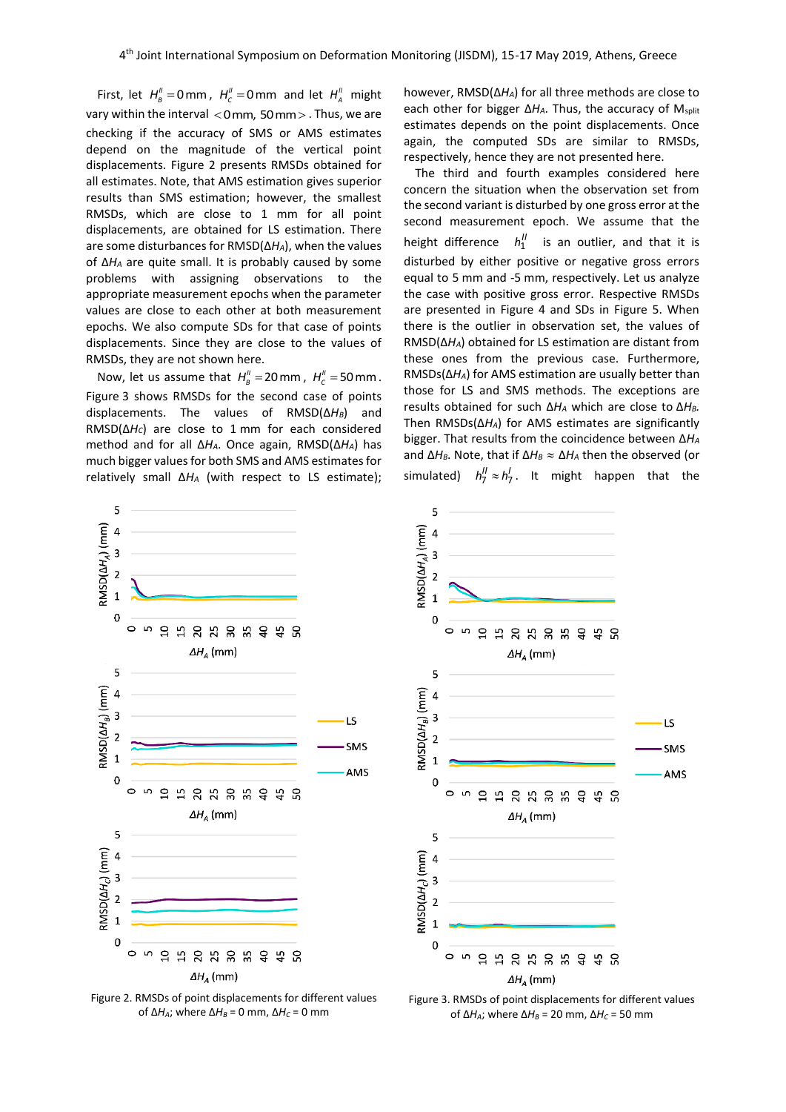First, let  $H''_B = 0$  mm,  $H''_C = 0$  mm and let  $H''_A$  might vary within the interval  $<$  0 mm, 50 mm $>$  . Thus, we are checking if the accuracy of SMS or AMS estimates depend on the magnitude of the vertical point displacements. Figure 2 presents RMSDs obtained for all estimates. Note, that AMS estimation gives superior results than SMS estimation; however, the smallest RMSDs, which are close to 1 mm for all point displacements, are obtained for LS estimation. There are some disturbances for RMSD(Δ*HA*), when the values of Δ*H<sup>A</sup>* are quite small. It is probably caused by some problems with assigning observations to the appropriate measurement epochs when the parameter values are close to each other at both measurement epochs. We also compute SDs for that case of points displacements. Since they are close to the values of RMSDs, they are not shown here.

Now, let us assume that  $H''_B = 20$  mm,  $H''_C = 50$  mm. Figure 3 shows RMSDs for the second case of points displacements. The values of RMSD(Δ*HB*) and RMSD(Δ*HC*) are close to 1 mm for each considered method and for all Δ*HA*. Once again, RMSD(Δ*HA*) has much bigger values for both SMS and AMS estimates for relatively small Δ*H<sup>A</sup>* (with respect to LS estimate);

however, RMSD(Δ*HA*) for all three methods are close to each other for bigger Δ*HA*. Thus, the accuracy of Msplit estimates depends on the point displacements. Once again, the computed SDs are similar to RMSDs, respectively, hence they are not presented here.

The third and fourth examples considered here concern the situation when the observation set from the second variant is disturbed by one gross error at the second measurement epoch. We assume that the height difference  $h_1^{\prime\prime}$ *is an outlier, and that it is* disturbed by either positive or negative gross errors equal to 5 mm and -5 mm, respectively. Let us analyze the case with positive gross error. Respective RMSDs are presented in Figure 4 and SDs in Figure 5. When there is the outlier in observation set, the values of RMSD(Δ*HA*) obtained for LS estimation are distant from these ones from the previous case. Furthermore, RMSDs(Δ*HA*) for AMS estimation are usually better than those for LS and SMS methods. The exceptions are results obtained for such Δ*H<sup>A</sup>* which are close to Δ*HB.* Then RMSDs(Δ*HA*) for AMS estimates are significantly bigger. That results from the coincidence between Δ*H<sup>A</sup>* and Δ*HB*. Note, that if Δ*H<sup>B</sup>* Δ*H<sup>A</sup>* then the observed (or simulated)  $h_7^{\prime\prime} \approx h_7^{\prime}$ . It might happen that the



Figure 2. RMSDs of point displacements for different values of Δ*H<sub>A</sub>*; where Δ*H<sub>B</sub>* = 0 mm, Δ*H<sub>C</sub>* = 0 mm



Figure 3. RMSDs of point displacements for different values of Δ*HA*; where Δ*H<sup>B</sup>* = 20 mm, Δ*H<sup>C</sup>* = 50 mm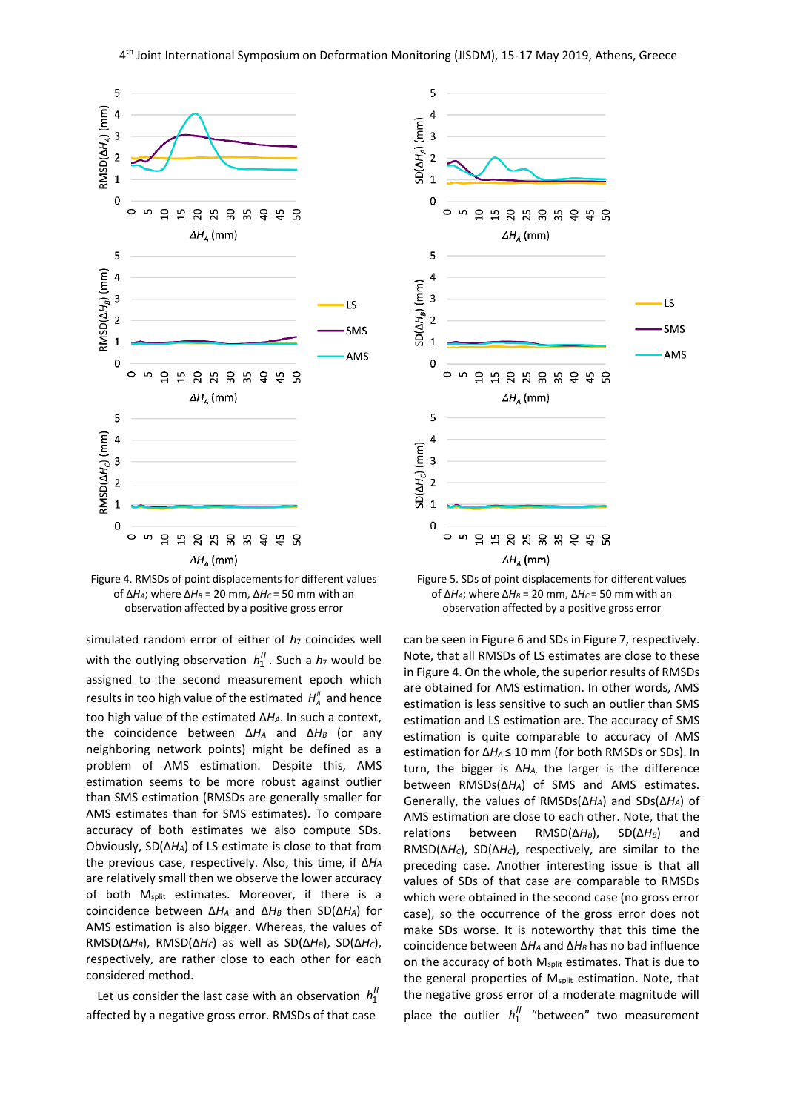



simulated random error of either of  $h_7$  coincides well with the outlying observation  $h''_1$ . Such a  $h_7$  would be assigned to the second measurement epoch which results in too high value of the estimated  $H''_{A}$  and hence too high value of the estimated Δ*HA*. In such a context, the coincidence between Δ*H<sup>A</sup>* and Δ*H<sup>B</sup>* (or any neighboring network points) might be defined as a problem of AMS estimation. Despite this, AMS estimation seems to be more robust against outlier than SMS estimation (RMSDs are generally smaller for AMS estimates than for SMS estimates). To compare accuracy of both estimates we also compute SDs. Obviously, SD(Δ*HA*) of LS estimate is close to that from the previous case, respectively. Also, this time, if Δ*H<sup>A</sup>* are relatively small then we observe the lower accuracy of both M<sub>split</sub> estimates. Moreover, if there is a coincidence between Δ*H<sup>A</sup>* and Δ*H<sup>B</sup>* then SD(Δ*HA*) for AMS estimation is also bigger. Whereas, the values of RMSD(Δ*HB*), RMSD(Δ*HC*) as well as SD(Δ*HB*), SD(Δ*HC*), respectively, are rather close to each other for each considered method.

Let us consider the last case with an observation  $h''_1$ affected by a negative gross error. RMSDs of that case





can be seen in Figure 6 and SDs in Figure 7, respectively. Note, that all RMSDs of LS estimates are close to these in Figure 4. On the whole, the superior results of RMSDs are obtained for AMS estimation. In other words, AMS estimation is less sensitive to such an outlier than SMS estimation and LS estimation are. The accuracy of SMS estimation is quite comparable to accuracy of AMS estimation for Δ*HA* ≤ 10 mm (for both RMSDs or SDs). In turn, the bigger is Δ*HA,* the larger is the difference between RMSDs(Δ*HA*) of SMS and AMS estimates. Generally, the values of RMSDs(Δ*HA*) and SDs(Δ*HA*) of AMS estimation are close to each other. Note, that the relations between RMSD(Δ*HB*), SD(Δ*HB*) and RMSD(Δ*HC*), SD(Δ*HC*), respectively, are similar to the preceding case. Another interesting issue is that all values of SDs of that case are comparable to RMSDs which were obtained in the second case (no gross error case), so the occurrence of the gross error does not make SDs worse. It is noteworthy that this time the coincidence between Δ*H<sup>A</sup>* and Δ*H<sup>B</sup>* has no bad influence on the accuracy of both M<sub>split</sub> estimates. That is due to the general properties of M<sub>split</sub> estimation. Note, that the negative gross error of a moderate magnitude will place the outlier  $h_1^{\prime\prime}$  "between" two measurement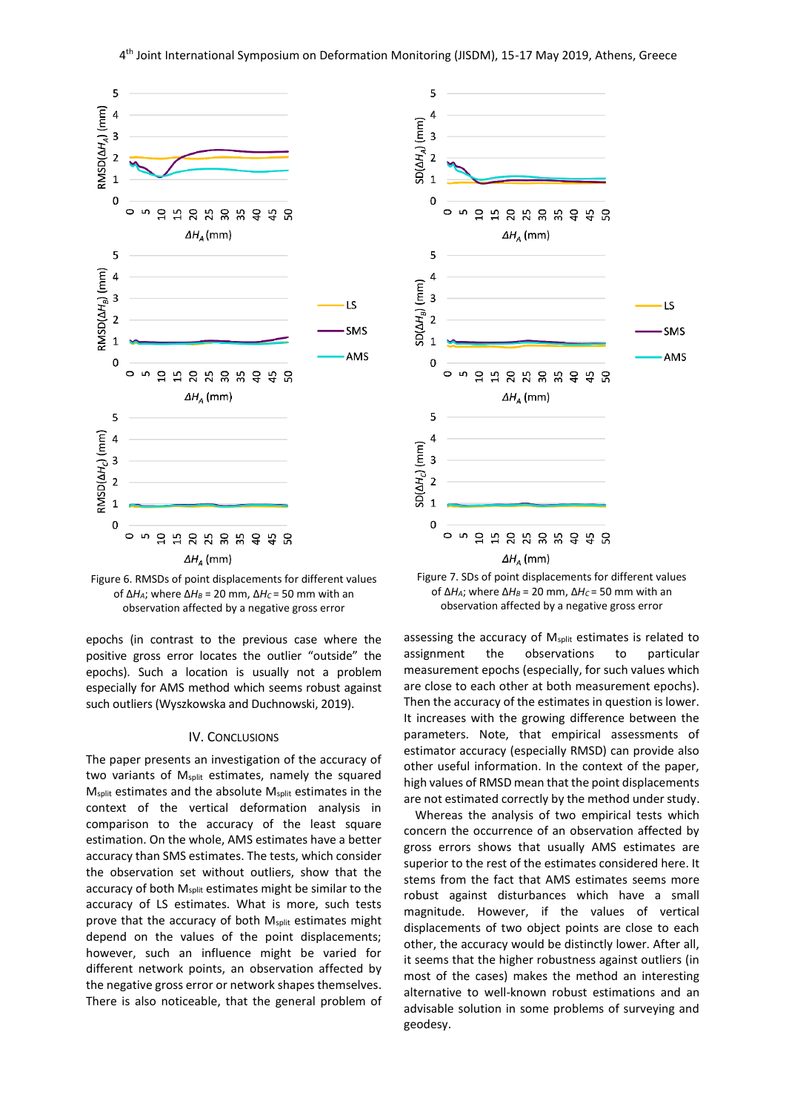



epochs (in contrast to the previous case where the positive gross error locates the outlier "outside" the epochs). Such a location is usually not a problem especially for AMS method which seems robust against such outliers (Wyszkowska and Duchnowski, 2019).

#### IV. CONCLUSIONS

The paper presents an investigation of the accuracy of two variants of M<sub>split</sub> estimates, namely the squared M<sub>split</sub> estimates and the absolute M<sub>split</sub> estimates in the context of the vertical deformation analysis in comparison to the accuracy of the least square estimation. On the whole, AMS estimates have a better accuracy than SMS estimates. The tests, which consider the observation set without outliers, show that the accuracy of both M<sub>split</sub> estimates might be similar to the accuracy of LS estimates. What is more, such tests prove that the accuracy of both M<sub>split</sub> estimates might depend on the values of the point displacements; however, such an influence might be varied for different network points, an observation affected by the negative gross error or network shapes themselves. There is also noticeable, that the general problem of





assessing the accuracy of M<sub>split</sub> estimates is related to assignment the observations to particular measurement epochs (especially, for such values which are close to each other at both measurement epochs). Then the accuracy of the estimates in question is lower. It increases with the growing difference between the parameters. Note, that empirical assessments of estimator accuracy (especially RMSD) can provide also other useful information. In the context of the paper, high values of RMSD mean that the point displacements are not estimated correctly by the method under study.

Whereas the analysis of two empirical tests which concern the occurrence of an observation affected by gross errors shows that usually AMS estimates are superior to the rest of the estimates considered here. It stems from the fact that AMS estimates seems more robust against disturbances which have a small magnitude. However, if the values of vertical displacements of two object points are close to each other, the accuracy would be distinctly lower. After all, it seems that the higher robustness against outliers (in most of the cases) makes the method an interesting alternative to well-known robust estimations and an advisable solution in some problems of surveying and geodesy.